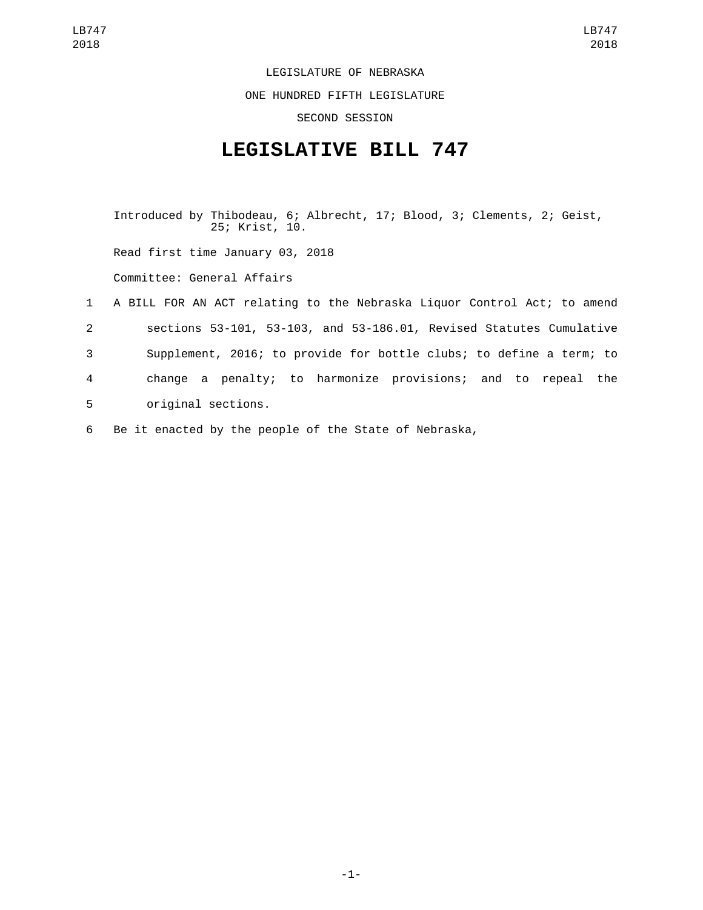LEGISLATURE OF NEBRASKA

ONE HUNDRED FIFTH LEGISLATURE

SECOND SESSION

## **LEGISLATIVE BILL 747**

Introduced by Thibodeau, 6; Albrecht, 17; Blood, 3; Clements, 2; Geist, 25; Krist, 10.

Read first time January 03, 2018

Committee: General Affairs

- 1 A BILL FOR AN ACT relating to the Nebraska Liquor Control Act; to amend 2 sections 53-101, 53-103, and 53-186.01, Revised Statutes Cumulative 3 Supplement, 2016; to provide for bottle clubs; to define a term; to 4 change a penalty; to harmonize provisions; and to repeal the 5 original sections.
- 6 Be it enacted by the people of the State of Nebraska,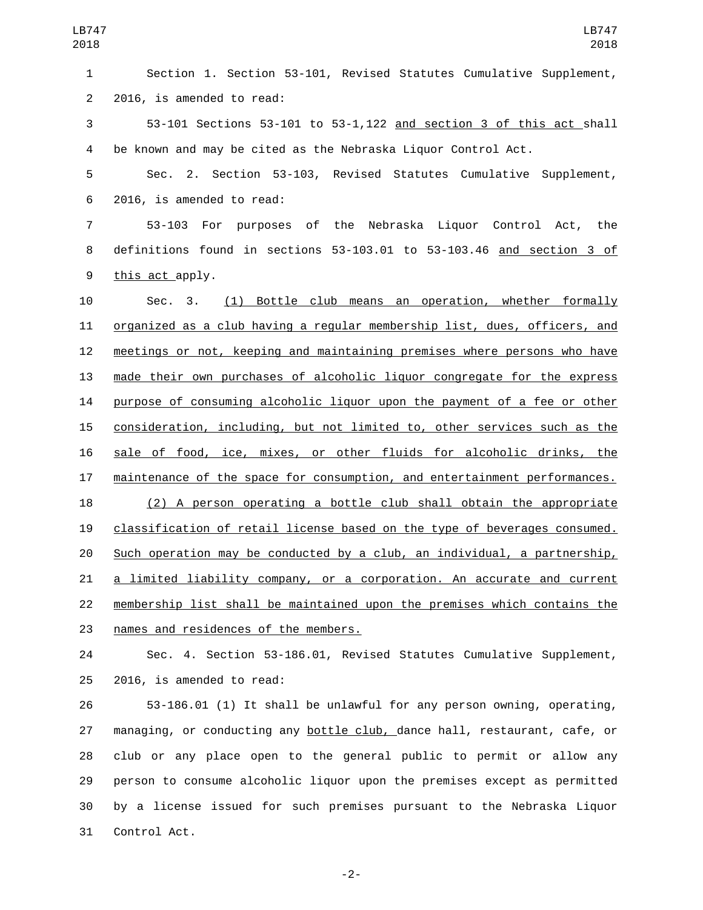Section 1. Section 53-101, Revised Statutes Cumulative Supplement, 2 2016, is amended to read: 53-101 Sections 53-101 to 53-1,122 and section 3 of this act shall be known and may be cited as the Nebraska Liquor Control Act. Sec. 2. Section 53-103, Revised Statutes Cumulative Supplement, 2016, is amended to read:6 53-103 For purposes of the Nebraska Liquor Control Act, the definitions found in sections 53-103.01 to 53-103.46 and section 3 of 9 this act apply. Sec. 3. (1) Bottle club means an operation, whether formally organized as a club having a regular membership list, dues, officers, and meetings or not, keeping and maintaining premises where persons who have made their own purchases of alcoholic liquor congregate for the express purpose of consuming alcoholic liquor upon the payment of a fee or other consideration, including, but not limited to, other services such as the sale of food, ice, mixes, or other fluids for alcoholic drinks, the maintenance of the space for consumption, and entertainment performances. (2) A person operating a bottle club shall obtain the appropriate classification of retail license based on the type of beverages consumed. Such operation may be conducted by a club, an individual, a partnership, 21 a limited liability company, or a corporation. An accurate and current membership list shall be maintained upon the premises which contains the 23 names and residences of the members. Sec. 4. Section 53-186.01, Revised Statutes Cumulative Supplement,  $2016$ , is amended to read: 53-186.01 (1) It shall be unlawful for any person owning, operating, managing, or conducting any bottle club, dance hall, restaurant, cafe, or club or any place open to the general public to permit or allow any person to consume alcoholic liquor upon the premises except as permitted LB747 LB747 

31 Control Act.

-2-

by a license issued for such premises pursuant to the Nebraska Liquor